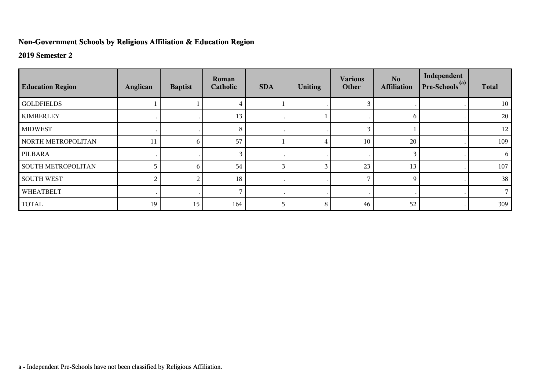## **Non-Government Schools by Religious Affiliation & Education Region**

## **2019 Semester 2**

| <b>Education Region</b>   | Anglican | <b>Baptist</b> | Roman<br>Catholic | <b>SDA</b> | <b>Uniting</b> | <b>Various</b><br>Other | No.<br><b>Affiliation</b> | Independent<br>$Pre-Schools(a)$ | <b>Total</b> |
|---------------------------|----------|----------------|-------------------|------------|----------------|-------------------------|---------------------------|---------------------------------|--------------|
| <b>GOLDFIELDS</b>         |          |                |                   |            |                |                         |                           |                                 | 10           |
| <b>KIMBERLEY</b>          |          |                | 13                |            |                |                         | 6                         |                                 | 20           |
| <b>MIDWEST</b>            |          |                | 8                 |            |                | 3                       |                           |                                 | 12           |
| NORTH METROPOLITAN        | 11       | 6              | 57                |            |                | 10                      | 20                        |                                 | 109          |
| PILBARA                   |          |                |                   |            |                |                         | 3                         |                                 | 6            |
| <b>SOUTH METROPOLITAN</b> |          | 6              | 54                | 3          |                | 23                      | 13                        |                                 | 107          |
| <b>SOUTH WEST</b>         | 2        | 2              | 18                |            |                |                         | 9                         |                                 | 38           |
| WHEATBELT                 |          |                |                   | $\cdot$    |                |                         |                           |                                 |              |
| <b>TOTAL</b>              | 19       | 15             | 164               | 5          | 8              | 46                      | 52                        |                                 | 309          |